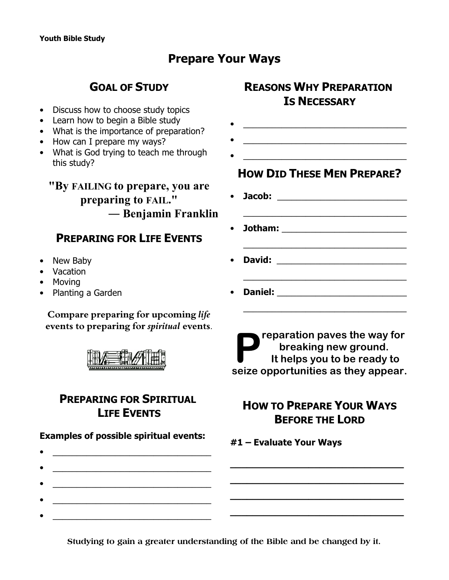# **Prepare Your Ways**

# **GOAL OF STUDY**

- Discuss how to choose study topics
- Learn how to begin a Bible study
- What is the importance of preparation?
- How can I prepare my ways?
- What is God trying to teach me through this study?

### **"By FAILING to prepare, you are preparing to FAIL." ¯ Benjamin Franklin**

## **PREPARING FOR LIFE EVENTS**

- New Baby
- Vacation
- Moving
- Planting a Garden

**Compare preparing for upcoming** *life* **events to preparing for** *spiritual* **events**.



### **PREPARING FOR SPIRITUAL LIFE EVENTS**

**Examples of possible spiritual events:**

 $\bullet$   $\qquad \qquad$ 

 $\bullet$   $\qquad \qquad$ 

 $\bullet$   $\qquad \qquad$ 

 $\bullet$   $\qquad \qquad$ 

- **REASONS WHY PREPARATION IS NECESSARY**
- $\overline{\phantom{a}}$  ,  $\overline{\phantom{a}}$  ,  $\overline{\phantom{a}}$  ,  $\overline{\phantom{a}}$  ,  $\overline{\phantom{a}}$  ,  $\overline{\phantom{a}}$  ,  $\overline{\phantom{a}}$  ,  $\overline{\phantom{a}}$  ,  $\overline{\phantom{a}}$  ,  $\overline{\phantom{a}}$  ,  $\overline{\phantom{a}}$  ,  $\overline{\phantom{a}}$  ,  $\overline{\phantom{a}}$  ,  $\overline{\phantom{a}}$  ,  $\overline{\phantom{a}}$  ,  $\overline{\phantom{a}}$
- $\mathcal{L}^{\mathcal{L}}$  , and the set of the set of the set of the set of the set of the set of the set of the set of the set of the set of the set of the set of the set of the set of the set of the set of the set of the set of t

## **HOW DID THESE MEN PREPARE?**

 $\bullet$   $\qquad \qquad$ 

- **Jacob:** \_\_\_\_\_\_\_\_\_\_\_\_\_\_\_\_\_\_\_\_\_\_\_\_\_\_\_
- **Jotham:** \_\_\_\_\_\_\_\_\_\_\_\_\_\_\_\_\_\_\_\_\_\_\_\_\_\_

\_\_\_\_\_\_\_\_\_\_\_\_\_\_\_\_\_\_\_\_\_\_\_\_\_\_\_\_\_\_\_\_\_\_

\_\_\_\_\_\_\_\_\_\_\_\_\_\_\_\_\_\_\_\_\_\_\_\_\_\_\_\_\_\_\_\_\_\_

\_\_\_\_\_\_\_\_\_\_\_\_\_\_\_\_\_\_\_\_\_\_\_\_\_\_\_\_\_\_\_\_\_\_

- **David:** \_\_\_\_\_\_\_\_\_\_\_\_\_\_\_\_\_\_\_\_\_\_\_\_\_\_\_
- **Daniel:** \_\_\_\_\_\_\_\_\_\_\_\_\_\_\_\_\_\_\_\_\_\_\_\_\_\_\_

**P** reparation paves the way for<br>
breaking new ground.<br>
It helps you to be ready to<br>
seize opportunities as they appear. **reparation paves the way for breaking new ground. It helps you to be ready to**

# **HOW TO PREPARE YOUR WAYS BEFORE THE LORD**

**\_\_\_\_\_\_\_\_\_\_\_\_\_\_\_\_\_\_\_\_\_\_\_\_\_\_\_\_\_\_\_**

**\_\_\_\_\_\_\_\_\_\_\_\_\_\_\_\_\_\_\_\_\_\_\_\_\_\_\_\_\_\_\_**

**\_\_\_\_\_\_\_\_\_\_\_\_\_\_\_\_\_\_\_\_\_\_\_\_\_\_\_\_\_\_\_**

**\_\_\_\_\_\_\_\_\_\_\_\_\_\_\_\_\_\_\_\_\_\_\_\_\_\_\_\_\_\_\_**

**#1 – Evaluate Your Ways**

**Studying to gain a greater understanding of the Bible and be changed by it.**